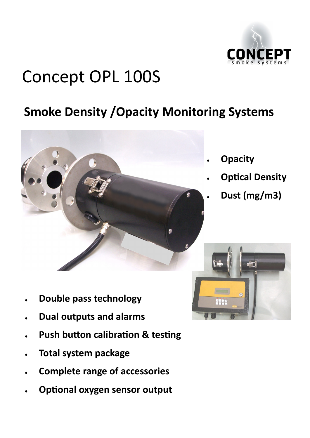

# Concept OPL 100S

# **Smoke Density /Opacity Monitoring Systems**



- **Opacity**
- **Optical Density**
- **Dust (mg/m3)**

- **Double pass technology**
- **Dual outputs and alarms**
- **Push button calibration & testing**
- **Total system package**
- **Complete range of accessories**
- **Optional oxygen sensor output**